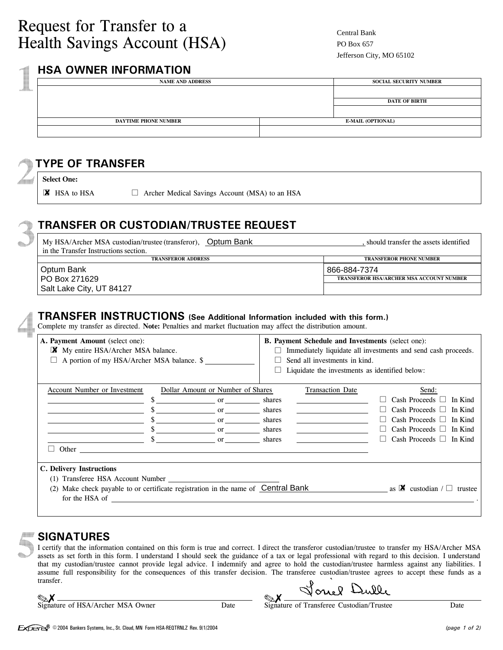## **HSA OWNER INFORMATION**

| <b>NAME AND ADDRESS</b>     |  | <b>SOCIAL SECURITY NUMBER</b> |  |  |
|-----------------------------|--|-------------------------------|--|--|
|                             |  |                               |  |  |
|                             |  | <b>DATE OF BIRTH</b>          |  |  |
|                             |  |                               |  |  |
| <b>DAYTIME PHONE NUMBER</b> |  | <b>E-MAIL (OPTIONAL)</b>      |  |  |
|                             |  |                               |  |  |

## **TYPE OF TRANSFER**

**Select One:**

 $\blacksquare$  HSA to HSA  $\Box$ 

 $\Box$  Archer Medical Savings Account (MSA) to an HSA

# **TRANSFER OR CUSTODIAN/TRUSTEE REQUEST**

| My HSA/Archer MSA custodian/trustee (transferor), Optum Bank<br>in the Transfer Instructions section. | should transfer the assets identified           |  |
|-------------------------------------------------------------------------------------------------------|-------------------------------------------------|--|
| <b>TRANSFEROR ADDRESS</b>                                                                             | <b>TRANSFEROR PHONE NUMBER</b>                  |  |
| Optum Bank                                                                                            | 866-884-7374                                    |  |
| PO Box 271629                                                                                         | <b>TRANSFEROR HSA/ARCHER MSA ACCOUNT NUMBER</b> |  |
| Salt Lake City, UT 84127                                                                              |                                                 |  |

#### **TRANSFER INSTRUCTIONS (See Additional Information included with this form.)**

Complete my transfer as directed. Note: Penalties and market fluctuation may affect the distribution amount.

| A. Payment Amount (select one):<br>X<br>My entire HSA/Archer MSA balance.<br>A portion of my HSA/Archer MSA balance. \$                                                                                                                                  |                                                                                 |                                                | <b>B. Payment Schedule and Investments (select one):</b><br>Immediately liquidate all investments and send cash proceeds.<br>Send all investments in kind.<br>Liquidate the investments as identified below: |                                                                                                                                                                          |  |  |  |
|----------------------------------------------------------------------------------------------------------------------------------------------------------------------------------------------------------------------------------------------------------|---------------------------------------------------------------------------------|------------------------------------------------|--------------------------------------------------------------------------------------------------------------------------------------------------------------------------------------------------------------|--------------------------------------------------------------------------------------------------------------------------------------------------------------------------|--|--|--|
| Account Number or Investment                                                                                                                                                                                                                             | Dollar Amount or Number of Shares<br>$\mathbf{or}$<br>or<br>$or$ $\qquad$<br>or | shares<br>shares<br>shares<br>shares<br>shares | <b>Transaction Date</b>                                                                                                                                                                                      | Send:<br>Cash Proceeds    <br>In Kind<br>Cash Proceeds    <br>In Kind<br>Cash Proceeds $\Box$<br>In Kind<br>Cash Proceeds $\Box$ In Kind<br>Cash Proceeds $\Box$ In Kind |  |  |  |
| Other<br>C. Delivery Instructions<br>(1) Transferee HSA Account Number<br>Make check payable to or certificate registration in the name of Central Bank<br>as <b><math>\mathbb{X}</math></b> custodian $\mathcal{L}$<br>trustee<br>(2)<br>for the HSA of |                                                                                 |                                                |                                                                                                                                                                                                              |                                                                                                                                                                          |  |  |  |

### **SIGNATURES**

I certify that the information contained on this form is true and correct. I direct the transferor custodian/trustee to transfer my HSA/Archer MSA assets as set forth in this form. I understand I should seek the guidance of a tax or legal professional with regard to this decision. I understand that my custodian/trustee cannot provide legal advice. I indemnify and agree to hold the custodian/trustee harmless against any liabilities. I assume full responsibility for the consequences of this transfer decision. The transferee custodian/trustee agrees to accept these funds as a transfer.

| $\mathbb{Z}$ X |                                 |  |
|----------------|---------------------------------|--|
|                | Signature of HSA/Archer MSA Own |  |

onel Dulle

ner Date Signature of Transferee Custodian/Trustee Date